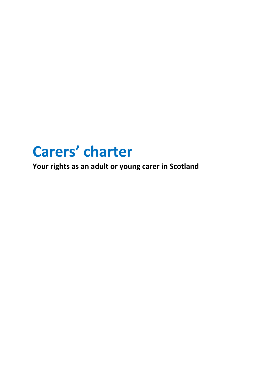# **Carers' charter**

**Your rights as an adult or young carer in Scotland**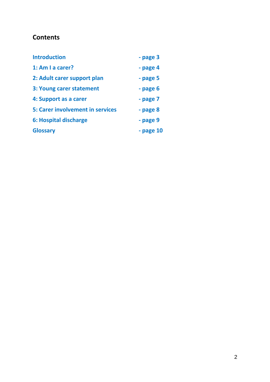# **Contents**

| <b>Introduction</b>                     | - page 3  |
|-----------------------------------------|-----------|
| 1: Am I a carer?                        | - page 4  |
| 2: Adult carer support plan             | - page 5  |
| 3: Young carer statement                | - page 6  |
| 4: Support as a carer                   | - page 7  |
| <b>5: Carer involvement in services</b> | - page 8  |
| 6: Hospital discharge                   | - page 9  |
| <b>Glossary</b>                         | - page 10 |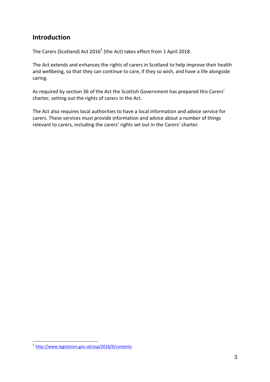# **Introduction**

The Carers (Scotland) Act 2016<sup>1</sup> (the Act) takes effect from 1 April 2018.

The Act extends and enhances the rights of carers in Scotland to help improve their health and wellbeing, so that they can continue to care, if they so wish, and have a life alongside caring.

As required by section 36 of the Act the Scottish Government has prepared this Carers' charter, setting out the rights of carers in the Act.

The Act also requires local authorities to have a local information and advice service for carers. These services must provide information and advice about a number of things relevant to carers, including the carers' rights set out in the Carers' charter.

 1 <http://www.legislation.gov.uk/asp/2016/9/contents>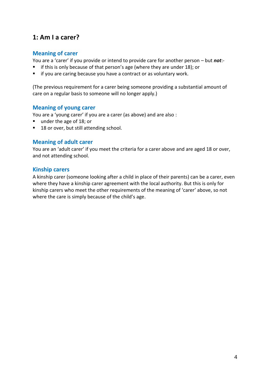## **1: Am I a carer?**

## **Meaning of carer**

You are a 'carer' if you provide or intend to provide care for another person – but *not*:-

- $\blacksquare$  if this is only because of that person's age (where they are under 18); or
- **i** if you are caring because you have a contract or as voluntary work.

(The previous requirement for a carer being someone providing a substantial amount of care on a regular basis to someone will no longer apply.)

## **Meaning of young carer**

You are a 'young carer' if you are a carer (as above) and are also :

- under the age of 18; or
- 18 or over, but still attending school.

### **Meaning of adult carer**

You are an 'adult carer' if you meet the criteria for a carer above and are aged 18 or over, and not attending school.

#### **Kinship carers**

A kinship carer (someone looking after a child in place of their parents) can be a carer, even where they have a kinship carer agreement with the local authority. But this is only for kinship carers who meet the other requirements of the meaning of 'carer' above, so not where the care is simply because of the child's age.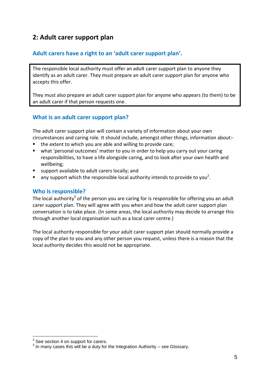# **2: Adult carer support plan**

## **Adult carers have a right to an 'adult carer support plan'.**

The responsible local authority must offer an adult carer support plan to anyone they identify as an adult carer. They must prepare an adult carer support plan for anyone who accepts this offer.

They must also prepare an adult carer support plan for anyone who appears (to them) to be an adult carer if that person requests one.

## **What is an adult carer support plan?**

The adult carer support plan will contain a variety of information about your own circumstances and caring role. It should include, amongst other things, information about:-

- the extent to which you are able and willing to provide care;
- what 'personal outcomes' matter to you in order to help you carry out your caring responsibilities, to have a life alongside caring, and to look after your own health and wellbeing;
- support available to adult carers locally; and
- $\blacksquare$  any support which the responsible local authority intends to provide to you<sup>2</sup>.

## **Who is responsible?**

The local authority<sup>3</sup> of the person you are caring for is responsible for offering you an adult carer support plan. They will agree with you when and how the adult carer support plan conversation is to take place. (In some areas, the local authority may decide to arrange this through another local organisation such as a local carer centre.)

The local authority responsible for your adult carer support plan should normally provide a copy of the plan to you and any other person you request, unless there is a reason that the local authority decides this would not be appropriate.

 2 See section 4 on support for carers.

 $3$  In many cases this will be a duty for the Integration Authority – see Glossary.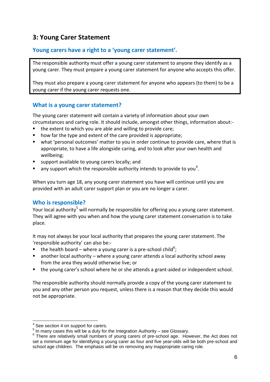# **3: Young Carer Statement**

## **Young carers have a right to a 'young carer statement'.**

The responsible authority must offer a young carer statement to anyone they identify as a young carer. They must prepare a young carer statement for anyone who accepts this offer.

They must also prepare a young carer statement for anyone who appears (to them) to be a young carer if the young carer requests one.

## **What is a young carer statement?**

The young carer statement will contain a variety of information about your own circumstances and caring role. It should include, amongst other things, information about:-

- the extent to which you are able and willing to provide care;
- how far the type and extent of the care provided is appropriate;
- what 'personal outcomes' matter to you in order continue to provide care, where that is appropriate, to have a life alongside caring, and to look after your own health and wellbeing;
- support available to young carers locally; and
- $\blacksquare$  any support which the responsible authority intends to provide to you<sup>4</sup>.

When you turn age 18, any young carer statement you have will continue until you are provided with an adult carer support plan or you are no longer a carer.

## **Who is responsible?**

Your local authority<sup>5</sup> will normally be responsible for offering you a young carer statement. They will agree with you when and how the young carer statement conversation is to take place.

It may not always be your local authority that prepares the young carer statement. The 'responsible authority' can also be:-

- **the health board where a young carer is a pre-school child<sup>6</sup>;**
- another local authority where a young carer attends a local authority school away from the area they would otherwise live; or
- the young carer's school where he or she attends a grant-aided or independent school.

The responsible authority should normally provide a copy of the young carer statement to you and any other person you request, unless there is a reason that they decide this would not be appropriate.

<sup>1</sup> 4 See section 4 on support for carers.

 $5$  In many cases this will be a duty for the Integration Authority – see Glossary.

<sup>&</sup>lt;sup>6</sup> There are relatively small numbers of young carers of pre-school age. However, the Act does not set a minimum age for identifying a young carer as four and five year-olds will be both pre-school and school age children. The emphasis will be on removing any inappropriate caring role.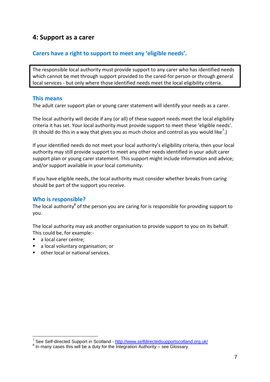## **4: Support as a carer**

## **Carers have a right to support to meet any 'eligible needs'.**

The responsible local authority must provide support to any carer who has identified needs which cannot be met through support provided to the cared-for person or through general local services - but only where those identified needs meet the local eligibility criteria.

### **This means**

The adult carer support plan or young carer statement will identify your needs as a carer.

The local authority will decide if any (or all) of these support needs meet the local eligibility criteria it has set. Your local authority must provide support to meet these 'eligible needs'. (It should do this in a way that gives you as much choice and control as you would like<sup>7</sup>.)

If your identified needs do not meet your local authority's eligibility criteria, then your local authority may still provide support to meet any other needs identified in your adult carer support plan or young carer statement. This support might include information and advice; and/or support available in your local community.

If you have eligible needs, the local authority must consider whether breaks from caring should be part of the support you receive.

## **Who is responsible?**

The local authority<sup>8</sup> of the person you are caring for is responsible for providing support to you.

The local authority may ask another organisation to provide support to you on its behalf. This could be, for example:-

- a local carer centre;
- a local voluntary organisation; or
- other local or national services.

 7 See Self-directed Support in Scotland - <http://www.selfdirectedsupportscotland.org.uk/>

 $8$  In many cases this will be a duty for the Integration Authority – see Glossary.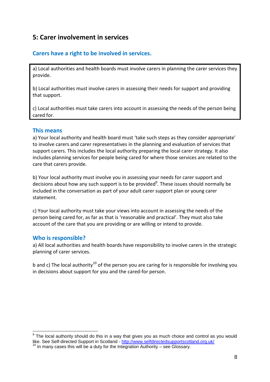# **5: Carer involvement in services**

## **Carers have a right to be involved in services.**

a) Local authorities and health boards must involve carers in planning the carer services they provide.

b) Local authorities must involve carers in assessing their needs for support and providing that support.

c) Local authorities must take carers into account in assessing the needs of the person being cared for.

## **This means**

a) Your local authority and health board must 'take such steps as they consider appropriate' to involve carers and carer representatives in the planning and evaluation of services that support carers. This includes the local authority preparing the local carer strategy. It also includes planning services for people being cared for where those services are related to the care that carers provide.

b) Your local authority must involve you in assessing your needs for carer support and decisions about how any such support is to be provided<sup>9</sup>. These issues should normally be included in the conversation as part of your adult carer support plan or young carer statement.

c) Your local authority must take your views into account in assessing the needs of the person being cared for, as far as that is 'reasonable and practical'. They must also take account of the care that you are providing or are willing or intend to provide.

## **Who is responsible?**

1

a) All local authorities and health boards have responsibility to involve carers in the strategic planning of carer services.

b and c) The local authority<sup>10</sup> of the person you are caring for is responsible for involving you in decisions about support for you and the cared-for person.

 $9$  The local authority should do this in a way that gives you as much choice and control as you would like. See Self-directed Support in Scotland - <http://www.selfdirectedsupportscotland.org.uk/>  $10$  In many cases this will be a duty for the Integration Authority – see Glossary.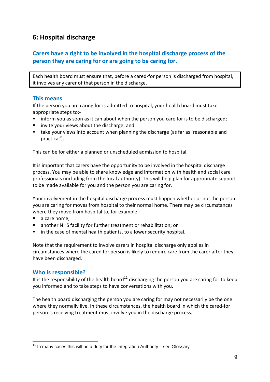# **6: Hospital discharge**

## **Carers have a right to be involved in the hospital discharge process of the person they are caring for or are going to be caring for.**

Each health board must ensure that, before a cared-for person is discharged from hospital, it involves any carer of that person in the discharge.

## **This means**

If the person you are caring for is admitted to hospital, your health board must take appropriate steps to:-

- **If all inform you as soon as it can about when the person you care for is to be discharged;**
- **E** invite your views about the discharge; and
- take your views into account when planning the discharge (as far as 'reasonable and practical').

This can be for either a planned or unscheduled admission to hospital.

It is important that carers have the opportunity to be involved in the hospital discharge process. You may be able to share knowledge and information with health and social care professionals (including from the local authority). This will help plan for appropriate support to be made available for you and the person you are caring for.

Your involvement in the hospital discharge process must happen whether or not the person you are caring for moves from hospital to their normal home. There may be circumstances where they move from hospital to, for example:-

- a care home;
- another NHS facility for further treatment or rehabilitation; or
- in the case of mental health patients, to a lower security hospital.

Note that the requirement to involve carers in hospital discharge only applies in circumstances where the cared for person is likely to require care from the carer after they have been discharged.

#### **Who is responsible?**

It is the responsibility of the health board<sup>11</sup> discharging the person you are caring for to keep you informed and to take steps to have conversations with you.

The health board discharging the person you are caring for may not necessarily be the one where they normally live. In these circumstances, the health board in which the cared-for person is receiving treatment must involve you in the discharge process.

<sup>1</sup>  $11$  In many cases this will be a duty for the Integration Authority – see Glossary.